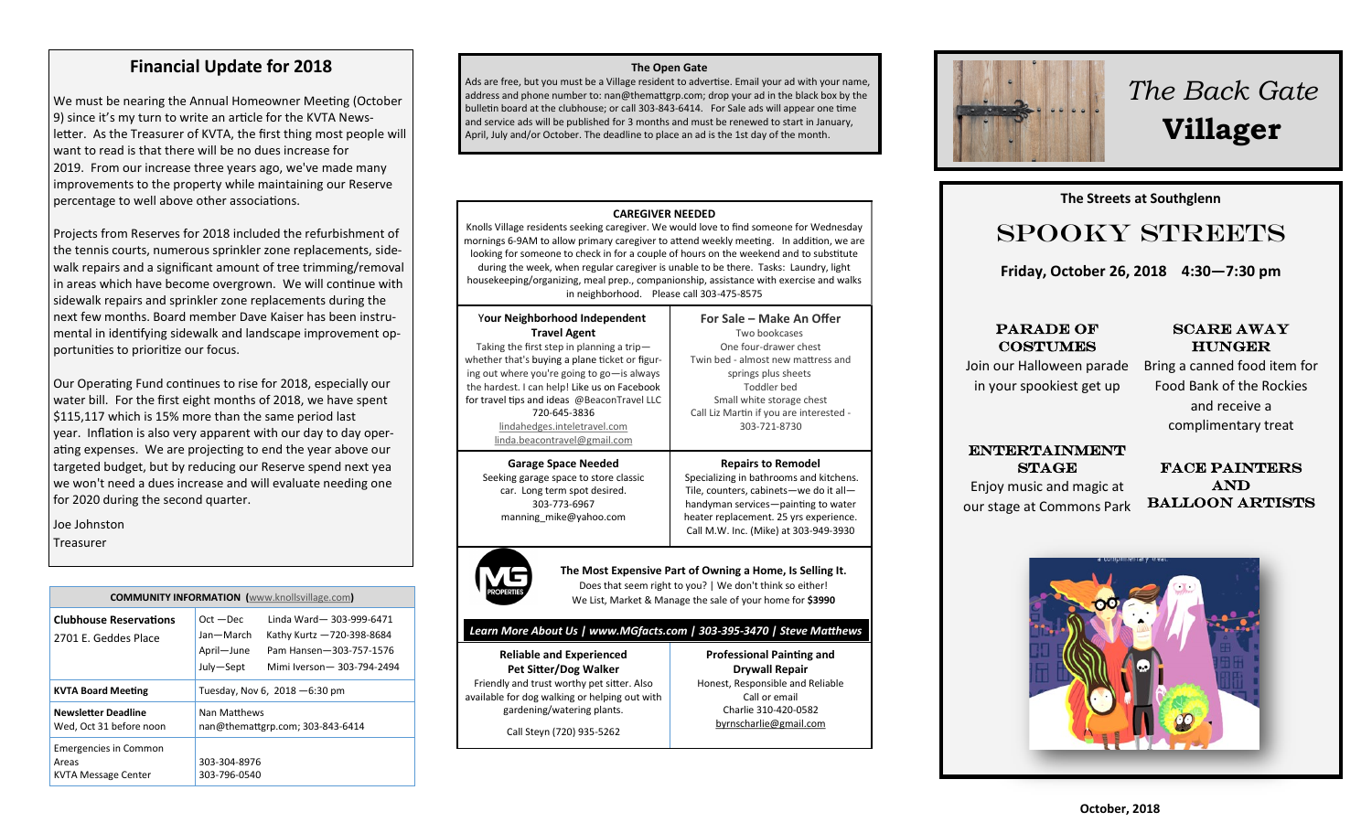### **Financial Update for 2018**

We must be nearing the Annual Homeowner Meeting (October 9) since it's my turn to write an article for the KVTA News letter. As the Treasurer of KVTA, the first thing most people will want to read is that there will be no dues increase for 2019. From our increase three years ago, we've made many improvements to the property while maintaining our Reserve percentage to well above other associations.

Projects from Reserves for 2018 included the refurbishment of the tennis courts, numerous sprinkler zone replacements, side walk repairs and a significant amount of tree trimming/removal in areas which have become overgrown. We will continue with sidewalk repairs and sprinkler zone replacements during the next few months. Board member Dave Kaiser has been instru mental in identifying sidewalk and landscape improvement op portunities to prioritize our focus.

Our Operating Fund continues to rise for 2018, especially our water bill. For the first eight months of 2018, we have spent \$115,117 which is 15% more than the same period last year. Inflation is also very apparent with our day to day oper ating expenses. We are projecting to end the year above our targeted budget, but by reducing our Reserve spend next yea we won't need a dues increase and will evaluate needing one for 2020 during the second quarter.

Joe Johnston

Treasurer

| <b>COMMUNITY INFORMATION</b> (www.knollsvillage.com)                |                                                     |                                                                                                                |
|---------------------------------------------------------------------|-----------------------------------------------------|----------------------------------------------------------------------------------------------------------------|
| <b>Clubhouse Reservations</b><br>2701 E. Geddes Place               | $Oct - Dec$<br>Jan-March<br>April-June<br>July-Sept | Linda Ward-303-999-6471<br>Kathy Kurtz -720-398-8684<br>Pam Hansen-303-757-1576<br>Mimi Iverson - 303-794-2494 |
| <b>KVTA Board Meeting</b>                                           | Tuesday, Nov 6, $2018 - 6:30$ pm                    |                                                                                                                |
| Newsletter Deadline<br>Wed, Oct 31 before noon                      | Nan Matthews<br>nan@themattgrp.com; 303-843-6414    |                                                                                                                |
| <b>Emergencies in Common</b><br>Areas<br><b>KVTA Message Center</b> | 303-304-8976<br>303-796-0540                        |                                                                                                                |

#### **The Open Gate**

Ads are free, but you must be a Village resident to advertise. Email your ad with your name, address and phone number to: nan@themattgrp.com; drop your ad in the black box by the bulletin board at the clubhouse; or call 303-843-6414. For Sale ads will appear one time and service ads will be published for 3 months and must be renewed to start in January, April, July and/or October. The deadline to place an ad is the 1st day of the month.



Knolls Village residents seeking caregiver. We would love to find someone for Wednesday mornings 6-9AM to allow primary caregiver to attend weekly meeting. In addition, we are looking for someone to check in for a couple of hours on the weekend and to substitute during the week, when regular caregiver is unable to be there. Tasks: Laundry, light housekeeping/organizing, meal prep., companionship, assistance with exercise and walks in neighborhood. Please call 303-475-8575

| Your Neighborhood Independent                  |  |  |
|------------------------------------------------|--|--|
| <b>Travel Agent</b>                            |  |  |
| Taking the first step in planning a trip-      |  |  |
| whether that's buying a plane ticket or figur- |  |  |

ing out where you're going to go—is always the hardest. I can help! Like us on Facebook for travel tips and ideas @BeaconTravel LLC 720-645-3836 [lindahedges.inteletravel.com](http://lindahedges.inteletravel.com) [linda.beacontravel@gmail.com](mailto:linda.beacontravel@gmail.com)

**Garage Space Needed** Seeking garage space to store classic car. Long term spot desired. 303-773-[6967](tel:303-773-6967) [manning\\_mike@yahoo.com](mailto:manning_mike@yahoo.com)



# Call M.W. Inc. (Mike) at 303-949-3930 **The Most Expensive Part of Owning a Home, Is Selling It.**

**For Sale – Make An Offer** Two bookcases One four-drawer chest Twin bed - almost new mattress and springs plus sheets Toddler bed Small white storage chest Call Liz Martin if you are interested - 303-721-8730

**Repairs to Remodel** Specializing in bathrooms and kitchens. Tile, counters, cabinets—we do it all handyman services—painting to water heater replacement. 25 yrs experience.

**Professional Painting and Drywall Repair** Honest, Responsible and Reliable Call or email Charlie 310-420-0582 [byrnscharlie@gmail.com](mailto:byrnscharlie@gmail.com)

Does that seem right to you? | We don't think so either! We List, Market & Manage the sale of your home for **\$3990**

#### *Learn More About Us | www.MGfacts.com | 303-395-3470 | Steve Matthews*

**Reliable and Experienced Pet Sitter/Dog Walker** Friendly and trust worthy pet sitter. Also available for dog walking or helping out with gardening/watering plants.

Call Steyn (720) 935-5262

# *The Back Gate*  **Villager**

# **The Streets at Southglenn**<br> **The Streets at Southglenn CONSTREET**

# Spooky Streets

Friday, October 26, 2018 4:30—7:30 pm **Friday, October 26, 2018 4:30—7:30 pm** 

### Parade of Costumes Costumes PARADE OF

# $\bf{SCARE}$   $\bf{AWAY}$

Join our Halloween parade **In your spookiest get up** in your spookiest get up

# **BRINGER** Bring a canned food item for Food Bank of the Rockies

and receive a complimentary treat

### **ENTERTAINMENT**

## $STAGE$ **our stage at Commons**  Enjoy music and magic at **Park.** our stage at Commons Park

FACE PAINTERS Balloon Artists Balloon Artists and